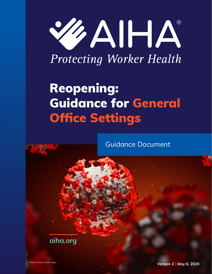

**Protecting Worker Health** 

# Reopening: Guidance for General Office Settings

Guidance Document

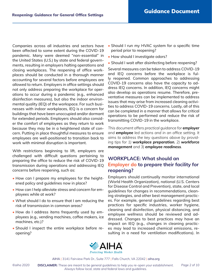Companies across all industries and sectors have been affected to some extent during the COVID-19 pandemic. Many were deemed "non-essential" in the United States (U.S.) by state and federal governments, resulting in employers halting operations and closing workplaces. The reopening of office workplaces should be conducted in a thorough manner accounting for several factors before employees are allowed to return. Employers in office settings should not only address preparing the workplace for operations to occur during a pandemic (e.g., enhanced disinfection measures), but also the indoor environmental quality (IEQ) of the workspace. For such businesses with indoor workplaces, IEQ is a concern for buildings that have been unoccupied and/or dormant for extended periods. Employers should also consider the comfort of employees as they return to work because they may be in a heightened state of concern. Putting in place thoughtful measures to ensure employees are well-positioned to transition back to work with minimal disruption is important.

With restrictions beginning to lift, employers are challenged with difficult questions pertaining to preparing the office to reduce the risk of COVID-19 transmission during operations and addressing IEQ concerns before reopening, such as:

- How can I prepare my employees for the heightened policy and guidelines now in place?
- How can I help alleviate stress and concern for employees while at work?
- What should I do to ensure that I am reducing the risk of transmission in common areas?
- How do I address items frequently used by employees (e.g., vending machines, coffee makers, ice machines, etc.)?
- Should I inspect the entire workplace before reopening?
- Should I run my HVAC system for a specific time period prior to reopening?
- How should I investigate odors?
- Should I wait after disinfecting before reopening?

Several measures can be taken to address COVID-19 and IEQ concerns before the workplace is fully reopened. Common approaches to addressing COVID-19 concerns also have the capacity to address IEQ concerns. In addition, IEQ concerns might also develop as operations resume. Therefore, preventative measures can be implemented to address issues that may arise from increased cleaning activities to address COVID-19 concerns. Lastly, all of this can be completed in a manner that allows for critical operations to be performed and reduce the risk of transmitting COVID-19 in the workplace.

*This document offers practical guidance for employer and employee led actions and in an office setting. It aims to address the key questions above by providing tips for 1) workplace preparation, 2) workforce management and 3) employee readiness.*

## **WORKPLACE: What should an Employer do to prepare their facility for reopening?**

Employers should continually monitor international (World Health Organization), national (U.S. Centers for Disease Control and Prevention), state, and local guidelines for changes in recommendations, cleaning strategies, and other best management practices. For example, general guidelines regarding best practices for specific industries, worker hygiene, cleaning and disinfection, physical distancing, and employee wellness should be reviewed and addressed. Changes to best practices may have an impact on IEQ (e.g., changes in cleaning practices may lead to increased chemical emissions, resulting in a need for ventilation modifications). In

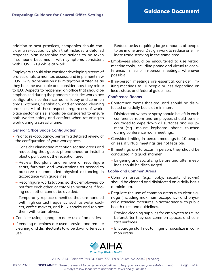addition to best practices, companies should consider a re-occupancy plan that includes a detailed response plan describing the actions to be taken if someone becomes ill with symptoms consistent with COVID-19 while at work.

Employers should also consider developing a team of professionals to monitor, assess, and implement new COVID-19 transmission risk mitigation strategies as they become available and consider how they relate to IEQ. Aspects to reopening an office that should be emphasized during the pandemic include: workplace configuration, conference rooms, lobby and common areas, kitchens, ventilation, and enhanced cleaning practices. All of these aspects, regardless of workplace sector or size, should be considered to ensure both worker safety and comfort when returning to work during a stressful time.

#### *General Office Space Configuration*

- Prior to re-occupancy, perform a detailed review of the configuration of your workspaces:
	- Consider eliminating reception seating areas and requesting that guests phone ahead or install a plastic partition at the reception area.
	- Review floorplans and remove or reconfigure seats, furniture and workstations as needed to preserve recommended physical distancing in accordance with guidelines.
	- Reconfigure workstations so that employees do not face each other, or establish partitions if facing each other cannot be avoided.
	- Temporarily replace amenities that are handled with high contact frequency, such as water coolers, coffee makers, and bulk snacks and replace them with alternatives.
- Consider using signage to deter use of amenities.
- If vending machines are used, provide and require cleaning and disinfectants to wipe down after each use.
- Reduce tasks requiring large amounts of people to be in one area. Design work to reduce or eliminate trade stacking in the same area.
- Employees should be encouraged to use virtual meeting tools, including phone and virtual teleconference, in lieu of in-person meetings, whenever possible.
- If in-person meetings are essential, consider limiting meetings to 10 people or less depending on local, state, and federal guidelines.

#### *Conference Rooms*

- Conference rooms that are used should be disinfected on a daily basis at minimum.
	- Disinfectant wipes or spray should be left in each conference room and employees should be encouraged to wipe down all surfaces and equipment (e.g., mouse, keyboard, phone) touched during conference room meetings.
- Consider limiting in-person meetings to 10 people or less, if virtual meetings are not feasible.
- If meetings are to occur in person, they should be conducted in a quick manner.
	- Lingering and socializing before and after meetings should be discouraged.

#### *Lobby and Common Areas*

- Common areas (e.g., lobby, security check-in) should be cleaned and disinfected on a daily basis at minimum.
- Regulate the use of common areas with clear signage (including maximum occupancy) and physical distancing measures in accordance with public health rules and guidelines.
	- Provide cleaning supplies for employees to utilize before/after they use common spaces and contact surfaces.
	- Encourage staff not to linger or socialize in common areas.

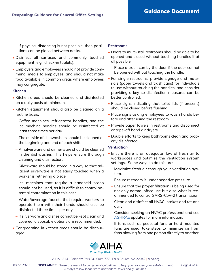- If physical distancing is not possible, then partitions can be placed between desks.
- Disinfect all surfaces and commonly touched equipment (e.g., check-in tablets).
- Employers and employees should not provide communal meals to employees, and should not make food available in common areas where employees may congregate.

#### *Kitchen*

- Kitchen areas should be cleaned and disinfected on a daily basis at minimum.
- Kitchen equipment should also be cleaned on a routine basis:
	- Coffee machines, refrigerator handles, and the ice machine handles should be disinfected at least three times per day.
	- The outside of dishwashers should be cleaned at the beginning and end of each shift.
	- All silverware and dinnerware should be cleaned in the dishwasher. This helps ensure thorough cleaning and disinfection.
	- Silverware should be stored in a way so that adjacent silverware is not easily touched when a worker is retrieving a piece.
	- Ice machines that require a handheld scoop should not be used, as it is difficult to control potential contamination in this case.
	- Water/beverage faucets that require workers to operate them with their hands should also be disinfected three times per day.
	- If silverware and dishes cannot be kept clean and covered, disposable options are recommended.
- Congregating in kitchen areas should be discouraged.

#### *Restrooms*

- Doors to multi-stall restrooms should be able to be opened and closed without touching handles if at all possible.
	- Place a trash can by the door if the door cannot be opened without touching the handle.
- For single restrooms, provide signage and materials (paper towels and trash cans) for individuals to use without touching the handles, and consider providing a key so disinfection measures can be better controlled.
- Place signs indicating that toilet lids (if present) should be closed before flushing.
- Place signs asking employees to wash hands before and after using the restroom.
- Provide paper towels in restrooms and disconnect or tape-off hand air dryers.
- Double efforts to keep bathrooms clean and properly disinfected.

#### *Ventilation*

- Ensure there is an adequate flow of fresh air to workspaces and optimize the ventilation system settings. Some ways to do this are:
	- Maximize fresh air through your ventilation system.
	- Ensure restroom is under negative pressure.
	- Ensure that the proper filtration is being used for not only normal office use but also what is recommended to control SARS-CoV-2 transmission.
	- Clean and disinfect all HVAC intakes and returns daily.
	- Consider seeking an HVAC professional and see ASHRAE updates for more information.
	- If fans such as pedestal fans or hard mounted fans are used, take steps to minimize air from fans blowing from one person directly to another.

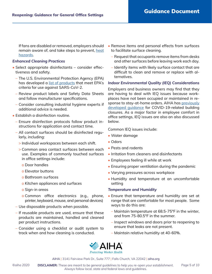If fans are disabled or removed, employers should remain aware of, and take steps to prevent, heat hazards.

#### *Enhanced Cleaning Practices*

- Select appropriate disinfectants consider effectiveness and safety.
	- The U.S. Environmental Protection Agency (EPA) has developed a list of products that meet EPA's criteria for use against SARS-CoV-2.
	- Review product labels and Safety Data Sheets and follow manufacturer specifications.
	- Consider consulting industrial hygiene experts if additional advice is needed.
- Establish a disinfection routine.
	- Ensure disinfection protocols follow product instructions for application and contact time.
	- All contact surfaces should be disinfected regularly, including:
		- > Individual workspaces between each shift.
		- > Common area contact surfaces between each use. Examples of commonly touched surfaces in office settings include:
			- o Door handles
			- o Elevator buttons
			- o Bathroom surfaces
			- o Kitchen appliances and surfaces
			- o Sign-in areas
			- o Common office electronics (e.g., phone, printer, keyboard, mouse, and personal devices)
	- Use disposable products when possible.
	- If reusable products are used, ensure that these products are maintained, handled and cleaned per product instructions.
	- Consider using a checklist or audit system to track when and how cleaning is conducted.
- Remove items and personal effects from surfaces to facilitate surface cleaning.
	- Request that occupants remove items from desks and other surfaces before leaving work each day.
	- Identify items with likely surface contact that are difficult to clean and remove or replace with alternatives.

#### *Indoor Environmental Quality (IEQ) Considerations*

Employers and business owners may find that they are having to deal with IEQ issues because workplaces have not been occupied or maintained in response to stay-at-home orders. AIHA has previously developed guidance for COVID-19-related building closures. As a major factor in employee comfort in office settings, IEQ issues are also an also discussed below.

Common IEQ issues include:

- Water damage
- Odors
- Pests and rodents
- Irritation from cleaners and disinfectants
- Employees feeling ill while at work
- Ensuring proper ventilation during the pandemic
- Varying pressures across workplace
- Humidity and temperature at an uncomfortable setting

#### *Temperature and Humidity*

- Ensure that temperature and humidity are set at range that are comfortable for most people. Some ways to do this are:
	- Maintain temperature at 68.5-75°F in the winter, and from 75-80.5°F in the summer.
	- Inspect windows and doors prior to reopening to ensure that leaks are not present.
	- Maintain relative humidity at 40-60%.

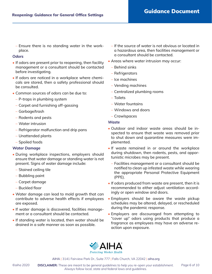– Ensure there is no standing water in the workplace.

#### *Odors*

- If odors are present prior to reopening, then facility management or a consultant should be contacted before investigating.
- If odors are noticed in a workplace where chemicals are stored, then a safety professional should be consulted.
- Common sources of odors can be due to:
	- P-traps in plumbing system
	- Carpet and furnishing off-gassing
	- Garbage/trash
	- Rodents and pests
	- Water intrusion
	- Refrigerator malfunction and drip pans
	- Unattended plants
	- Spoiled foods

#### *Water Damage*

- During workplace inspections, employers should ensure that water damage or standing water is not present. Signs of water damage include:
	- Stained ceiling tile
	- Bubbling paint
	- Carpet damage
	- Buckled floor
- Water damage can lead to mold growth that can contribute to adverse health effects if employees are exposed.
- If water damage is discovered, facilities management or a consultant should be contacted.
- If standing water is located, then water should be drained in a safe manner as soon as possible.
- If the source of water is not obvious or located in a hazardous area, then facilities management or a consultant should be contacted.
- Areas where water intrusion may occur:
	- Behind sinks
	- Refrigerators
	- Ice machines
	- Vending machines
	- Centralized plumbing rooms
	- Toilets
	- Water fountains
	- Windows and doors
	- Crawlspaces

#### *Waste*

- Outdoor and indoor waste areas should be inspected to ensure that waste was removed prior to shut down and quarantine measures were implemented.
- If waste remained in or around the workplace during shutdown, then rodents, pests, and opportunistic microbes may be present.
	- Facilities management or a consultant should be notified to clean up infested waste while wearing the appropriate Personal Protective Equipment (PPE).
- If odors produced from waste are present, then it is recommended to either adjust ventilation accordingly or open window and doors.
- Employers should be aware the waste pickup schedules may be altered, delayed, or rescheduled during the pandemic response.
- Employers are discouraged from attempting to "cover up" odors using products that produce a fragrance as employees may have an adverse reaction upon exposure.

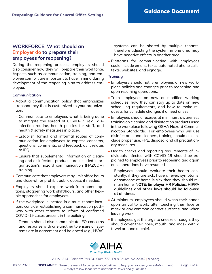## **WORKFORCE: What should an Employer do to prepare their employees for reopening?**

During the reopening process, employers should also consider how they will prepare their workforce. Aspects such as communication, training, and employee comfort are important to have in mind during development of the reopening plan to address employee.

#### *Communication*

- Adopt a communication policy that emphasizes transparency that is customized to your organization.
	- Communicate to employees what is being done to mitigate the spread of COVID-19 (e.g., disinfection routine, health policies for staff, and health & safety measures in place).
	- Establish formal and informal routes of communication for employees to express concerns, questions, comments, and feedback as it relates to IEQ.
	- Ensure that supplemental information on cleaning and disinfectant products are included in organization's hazard communication (HAZCOM) training.
- Communicate that employers may limit office hours and close-off or prohibit public access if needed.
- Employers should explore work-from-home options, staggering work shift/hours, and other flexible approaches for employees.
- If the workplace is located in a multi-tenant location, consider establishing a communication pathway with other tenants to inform of confirmed COVID-19 cases present in the building.
	- Tenants should also communicate IEQ concerns and response with one another to ensure all systems are in agreement and balanced (e.g., HVAC

systems can be shared by multiple tenants, therefore adjusting the system in one area may have negative effects in another area).

• Platforms for communicating with employees could include emails, texts, automated phone calls, texts, websites, and signage.

#### *Training*

- Employers should notify employees of new workplace policies and changes prior to reopening and upon resuming operations.
- Train employees on new or modified working schedules, how they can stay up to date on new scheduling requirements, and how to make requests for schedule changes if a need arises.
- Employees should receive, at minimum, awareness training on cleaning and disinfection products used in the workplace following OSHA Hazard Communication Standards. For employees who will use disinfectants and cleaners, training should also include proper use, PPE, disposal and all precautionary measures
- Health checks and reporting requirements of individuals infected with COVID-19 should be explained to employees prior to reopening and again once operations have resumed
	- Employees should evaluate their health constantly; if they are sick, have a fever, symptoms, or someone at home is sick then they should remain home. **NOTE: Employer HR Policies, HIPPA guidelines and other laws should be followed at all times.**
- At minimum, employees should wash their hands upon arrival to work, after touching their face or mask or any common contact surfaces, and when leaving work.
- If employees get the urge to sneeze or cough, they should cover their nose, mouth, and mask with a towel or handkerchief.

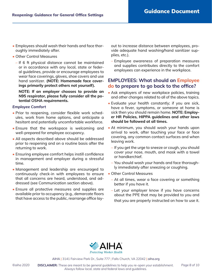- Employees should wash their hands and face thoroughly immediately after.
- Other Control Measures
	- If 6 ft physical distance cannot be maintained or in accordance with any local, state or federal guidelines, provide or encourage employees to wear face coverings, gloves, shoe covers and use hand sanitizer. **(NOTE: Homemade face coverings primarily protect others not yourself).**

**NOTE: If an employer chooses to provide an N95 respirator, please fully consider all the potential OSHA requirements.**

#### *Employee Comfort*

- Prior to reopening, consider flexible work schedules, work from home options, and anticipate a hesitant and potentially uncomfortable workforce.
- Ensure that the workspace is welcoming and well-prepared for employee occupancy.
- All aspects described above should be addressed prior to reopening and on a routine basis after the returning to work.
- Ensuring employee comfort helps instill confidence in management and employer during a stressful time.
- Management and leadership are encouraged to continuously check-in with employees to ensure that all concerns are heard, understood, and addressed (see Communication section above).
- Ensure all protective measures and supplies are available prior to occupancy (e.g., demarcate floors that have access to the public, rearrange office lay-

out to increase distance between employees, provide adequate hand washing/hand sanitizer supplies, etc.).

– Employee awareness of preparation measures and supplies contributes directly to the comfort employees can experience in the workplace.

## **EMPLOYEES: What should an Employee do to prepare to go back to the office?**

- Ask employers of new workplace policies, training and other changes related to all of the above topics.
- Evaluate your health constantly; if you are sick, have a fever, symptoms, or someone at home is sick then you should remain home. **NOTE: Employer HR Policies, HIPPA guidelines and other laws should be followed at all times.**
- At minimum, you should wash your hands upon arrival to work, after touching your face or face covering, any common contact surfaces and when leaving work.
	- If you get the urge to sneeze or cough, you should cover your nose, mouth, and mask with a towel or handkerchief.
	- You should wash your hands and face thoroughly immediately after sneezing or coughing.
- Other Control Measures
	- At all times, wear a face covering or something better if you have it.
	- Let your employer know if you have concerns about the PPE that may be provided to you and that you are properly instructed on how to use it.



AIHA | 3141 Fairview Park Dr., Suite 777 | Falls Church, VA 22042 | aiha.org

©aiha 2020 **DISCLAIMER:** These are meant to be general guidelines to help you re-open your establishment. Page 8 of 10 *Always follow local, state and federal laws and guidelines.*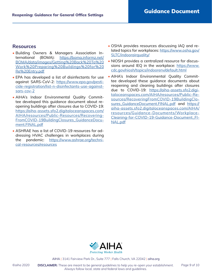#### **Resources**

- Building Owners & Managers Association International (BOMA): https://boma.informz.net/ BOMA/data/images/Getting%20Back%20To%20 Work%20Preparing%20Buildings%20for%20 Re%20Entry.pdf
- EPA has developed a list of disinfectants for use against SARS-CoV-2: https://www.epa.gov/pesticide-registration/list-n-disinfectants-use-againstsars-cov-2
- AIHA's Indoor Environmental Quality Committee developed this guidance document about reopening buildings after closures due to COVID-19: https://aiha-assets.sfo2.digitaloceanspaces.com/ AIHA/resources/Public-Resources/Recovering-FromCOVID-19BuildingClosures\_GuidanceDocument.FINAL.pdf
- ASHRAE has a list of COVID-19 resources for addressing HVAC challenges in workplaces during the pandemic: https://www.ashrae.org/technical-resources/resources
- OSHA provides resources discussing IAQ and related topics for workplaces: https://www.osha.gov/ SLTC/indoorairquality/
- NIOSH provides a centralized resource for discussions around IEQ in the workplace: https://www. cdc.gov/niosh/topics/indoorenv/default.html
- AIHA's Indoor Environmental Quality Committee developed these guidance documents about reopening and cleaning buildings after closures due to COVID-19: https://aiha-assets.sfo2.digitaloceanspaces.com/AIHA/resources/Public-Resources/RecoveringFromCOVID-19BuildingClosures\_GuidanceDocument.FINAL.pdf and https:// aiha-assets.sfo2.digitaloceanspaces.com/AIHA/ resources/Guidance-Documents/Workplace-Cleaning-for-COVID-19-Guidance-Document\_FI-NAL.pdf



AIHA | 3141 Fairview Park Dr., Suite 777 | Falls Church, VA 22042 | aiha.org

©aiha 2020 **DISCLAIMER:** These are meant to be general guidelines to help you re-open your establishment. Page 9 of 10 *Always follow local, state and federal laws and guidelines.*